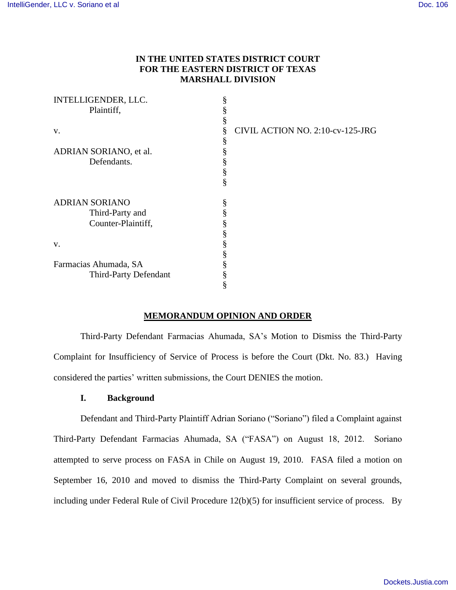# **IN THE UNITED STATES DISTRICT COURT FOR THE EASTERN DISTRICT OF TEXAS MARSHALL DIVISION**

| INTELLIGENDER, LLC.    | § |                                  |
|------------------------|---|----------------------------------|
| Plaintiff,             |   |                                  |
|                        | § |                                  |
| V.                     | § | CIVIL ACTION NO. 2:10-cv-125-JRG |
|                        | ş |                                  |
| ADRIAN SORIANO, et al. | § |                                  |
| Defendants.            |   |                                  |
|                        | § |                                  |
|                        | § |                                  |
| <b>ADRIAN SORIANO</b>  | § |                                  |
| Third-Party and        |   |                                  |
| Counter-Plaintiff,     |   |                                  |
|                        |   |                                  |
| V.                     |   |                                  |
|                        |   |                                  |
| Farmacias Ahumada, SA  |   |                                  |
| Third-Party Defendant  |   |                                  |
|                        | 8 |                                  |

### **MEMORANDUM OPINION AND ORDER**

Third-Party Defendant Farmacias Ahumada, SA's Motion to Dismiss the Third-Party Complaint for Insufficiency of Service of Process is before the Court (Dkt. No. 83.) Having considered the parties' written submissions, the Court DENIES the motion.

## **I. Background**

Defendant and Third-Party Plaintiff Adrian Soriano ("Soriano") filed a Complaint against Third-Party Defendant Farmacias Ahumada, SA ("FASA") on August 18, 2012. Soriano attempted to serve process on FASA in Chile on August 19, 2010. FASA filed a motion on September 16, 2010 and moved to dismiss the Third-Party Complaint on several grounds, including under Federal Rule of Civil Procedure 12(b)(5) for insufficient service of process. By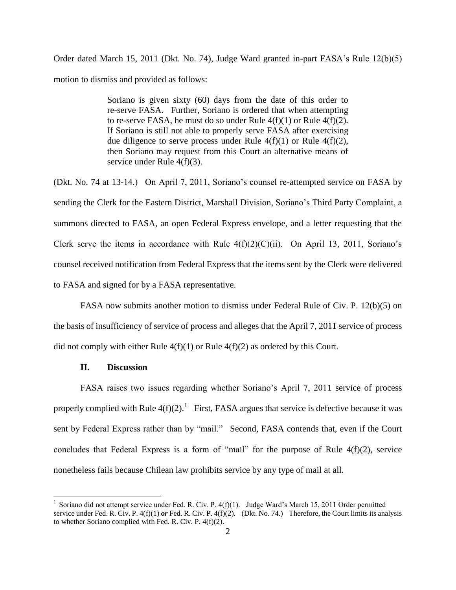Order dated March 15, 2011 (Dkt. No. 74), Judge Ward granted in-part FASA's Rule 12(b)(5) motion to dismiss and provided as follows:

> Soriano is given sixty (60) days from the date of this order to re-serve FASA. Further, Soriano is ordered that when attempting to re-serve FASA, he must do so under Rule  $4(f)(1)$  or Rule  $4(f)(2)$ . If Soriano is still not able to properly serve FASA after exercising due diligence to serve process under Rule  $4(f)(1)$  or Rule  $4(f)(2)$ , then Soriano may request from this Court an alternative means of service under Rule 4(f)(3).

(Dkt. No. 74 at 13-14.) On April 7, 2011, Soriano's counsel re-attempted service on FASA by sending the Clerk for the Eastern District, Marshall Division, Soriano's Third Party Complaint, a summons directed to FASA, an open Federal Express envelope, and a letter requesting that the Clerk serve the items in accordance with Rule  $4(f)(2)(C)(ii)$ . On April 13, 2011, Soriano's counsel received notification from Federal Express that the items sent by the Clerk were delivered to FASA and signed for by a FASA representative.

FASA now submits another motion to dismiss under Federal Rule of Civ. P. 12(b)(5) on the basis of insufficiency of service of process and alleges that the April 7, 2011 service of process did not comply with either Rule  $4(f)(1)$  or Rule  $4(f)(2)$  as ordered by this Court.

#### **II. Discussion**

 $\overline{a}$ 

FASA raises two issues regarding whether Soriano's April 7, 2011 service of process properly complied with Rule  $4(f)(2)$ .<sup>1</sup> First, FASA argues that service is defective because it was sent by Federal Express rather than by "mail." Second, FASA contends that, even if the Court concludes that Federal Express is a form of "mail" for the purpose of Rule 4(f)(2), service nonetheless fails because Chilean law prohibits service by any type of mail at all.

<sup>&</sup>lt;sup>1</sup> Soriano did not attempt service under Fed. R. Civ. P.  $4(f)(1)$ . Judge Ward's March 15, 2011 Order permitted service under Fed. R. Civ. P. 4(f)(1) *or* Fed. R. Civ. P. 4(f)(2). (Dkt. No. 74.) Therefore, the Court limits its analysis to whether Soriano complied with Fed. R. Civ. P. 4(f)(2).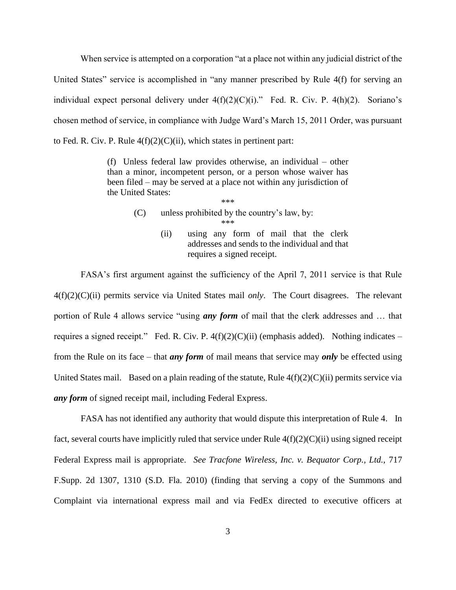When service is attempted on a corporation "at a place not within any judicial district of the United States" service is accomplished in "any manner prescribed by Rule 4(f) for serving an individual expect personal delivery under  $4(f)(2)(C)(i)$ ." Fed. R. Civ. P.  $4(h)(2)$ . Soriano's chosen method of service, in compliance with Judge Ward's March 15, 2011 Order, was pursuant to Fed. R. Civ. P. Rule  $4(f)(2)(C)(ii)$ , which states in pertinent part:

> (f) Unless federal law provides otherwise, an individual – other than a minor, incompetent person, or a person whose waiver has been filed – may be served at a place not within any jurisdiction of the United States: \*\*\*

- (C) unless prohibited by the country's law, by: \*\*\*
	- (ii) using any form of mail that the clerk addresses and sends to the individual and that requires a signed receipt.

FASA's first argument against the sufficiency of the April 7, 2011 service is that Rule 4(f)(2)(C)(ii) permits service via United States mail *only*. The Court disagrees. The relevant portion of Rule 4 allows service "using *any form* of mail that the clerk addresses and … that requires a signed receipt." Fed. R. Civ. P.  $4(f)(2)(C)(ii)$  (emphasis added). Nothing indicates – from the Rule on its face – that *any form* of mail means that service may *only* be effected using United States mail. Based on a plain reading of the statute, Rule  $4(f)(2)(C)(ii)$  permits service via *any form* of signed receipt mail, including Federal Express.

FASA has not identified any authority that would dispute this interpretation of Rule 4. In fact, several courts have implicitly ruled that service under Rule  $4(f)(2)(C)(ii)$  using signed receipt Federal Express mail is appropriate. *See Tracfone Wireless, Inc. v. Bequator Corp., Ltd.,* 717 F.Supp. 2d 1307, 1310 (S.D. Fla. 2010) (finding that serving a copy of the Summons and Complaint via international express mail and via FedEx directed to executive officers at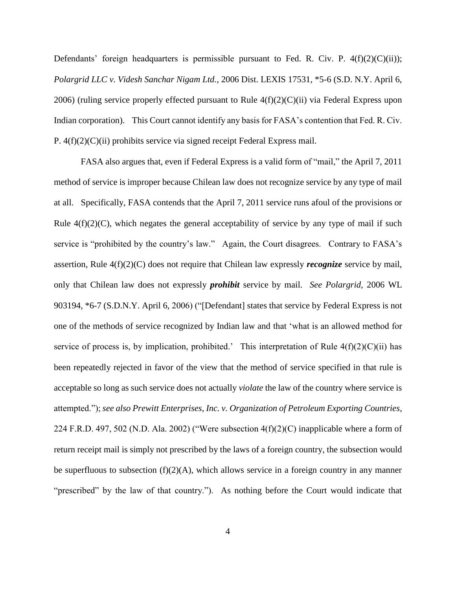Defendants' foreign headquarters is permissible pursuant to Fed. R. Civ. P.  $4(f)(2)(C)(ii)$ ; *Polargrid LLC v. Videsh Sanchar Nigam Ltd.*, 2006 Dist. LEXIS 17531, \*5-6 (S.D. N.Y. April 6, 2006) (ruling service properly effected pursuant to Rule  $4(f)(2)(C)(ii)$  via Federal Express upon Indian corporation). This Court cannot identify any basis for FASA's contention that Fed. R. Civ. P. 4(f)(2)(C)(ii) prohibits service via signed receipt Federal Express mail.

FASA also argues that, even if Federal Express is a valid form of "mail," the April 7, 2011 method of service is improper because Chilean law does not recognize service by any type of mail at all. Specifically, FASA contends that the April 7, 2011 service runs afoul of the provisions or Rule  $4(f)(2)(C)$ , which negates the general acceptability of service by any type of mail if such service is "prohibited by the country's law." Again, the Court disagrees. Contrary to FASA's assertion, Rule 4(f)(2)(C) does not require that Chilean law expressly *recognize* service by mail, only that Chilean law does not expressly *prohibit* service by mail. *See Polargrid,* 2006 WL 903194, \*6-7 (S.D.N.Y. April 6, 2006) ("[Defendant] states that service by Federal Express is not one of the methods of service recognized by Indian law and that 'what is an allowed method for service of process is, by implication, prohibited.' This interpretation of Rule  $4(f)(2)(C)(ii)$  has been repeatedly rejected in favor of the view that the method of service specified in that rule is acceptable so long as such service does not actually *violate* the law of the country where service is attempted."); *see also Prewitt Enterprises, Inc. v. Organization of Petroleum Exporting Countries*, 224 F.R.D. 497, 502 (N.D. Ala. 2002) ("Were subsection  $4(f)(2)(C)$  inapplicable where a form of return receipt mail is simply not prescribed by the laws of a foreign country, the subsection would be superfluous to subsection  $(f)(2)(A)$ , which allows service in a foreign country in any manner "prescribed" by the law of that country."). As nothing before the Court would indicate that